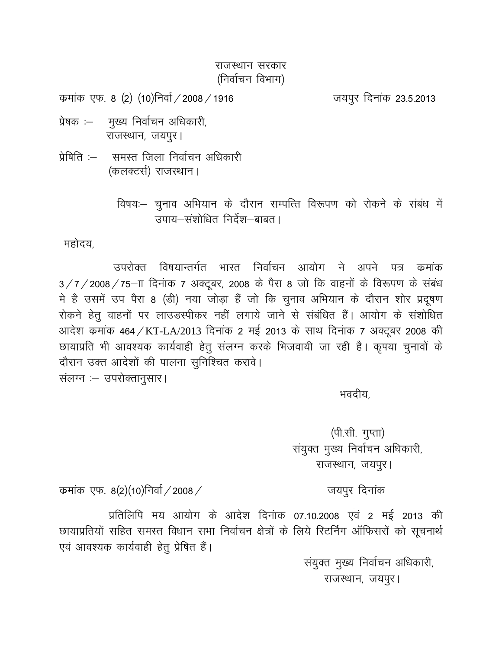### राजस्थान सरकार (निर्वाचन विभाग)

कमांक एफ. 8 (2) (10)निर्वा / 2008 / 1916 <br/> <br/> <br/> <br/> <br/> <br/> <br/> <br/> <br/> <br/> <br/> <br/> <br/> <br/> <br/> <br/> <br/> <br/> <br/> <br/> <br/> <br/> <br/> <br/> <br/> <br/> <br/> <br/> <br/> <br/>

- प्रेषक :- मुख्य निर्वाचन अधिकारी, राजस्थान, जयपुर।
- $\hat{y}$ षिति :- समस्त जिला निर्वाचन अधिकारी (कलक्टर्स) राजस्थान।

महोदय,

उपरोक्त विषयान्तर्गत भारत निर्वाचन आयोग ने अपने पत्र कमांक  $3/7/2008/75$ -TT दिनांक 7 अक्टूबर, 2008 के पैरा 8 जो कि वाहनों के विरूपण के संबंध मे है उसमें उप पैरा 8 (डी) नया जोड़ा हैं जो कि चुनाव अभियान के दौरान शोर प्रदूषण रोकने हेतू वाहनों पर लाउडस्पीकर नहीं लगाये जाने से संबंधित हैं। आयोग के संशोधित आदेश कमांक 464 / KT-LA/2013 दिनांक 2 मई 2013 के साथ दिनांक 7 अक्टूबर 2008 की छायाप्रति भी आवश्यक कार्यवाही हेतू संलग्न करके भिजवायी जा रही है। कृपया चुनावों के दौरान उक्त आदेशों की पालना सुनिश्चित करावे। संलग्न :- उपरोक्तानुसार।

भवदीय,

 $($ पी.सी. गुप्ता $)$ संयुक्त मुख्य निर्वाचन अधिकारी, राजस्थान, जयपुर।

कमांक एफ. 8(2)(10)निर्वा / 2008 / कमांक करायपुर दिनांक

प्रतिलिपि मय आयोग के आदेश दिनांक 07.10.2008 एवं 2 मई 2013 की छायाप्रतियों सहित समस्त विधान सभा निर्वाचन क्षेत्रों के लिये रिटर्निंग ऑफिसरों को सूचनार्थ एवं आवश्यक कार्यवाही हेतू प्रेषित हैं।

> संयुक्त मुख्य निर्वाचन अधिकारी, राजस्थान, जयपुर।

विषयः– चुनाव अभियान के दौरान सम्पत्ति विरूपण को रोकने के संबंध में उपाय-संशोधित निर्देश-बाबत।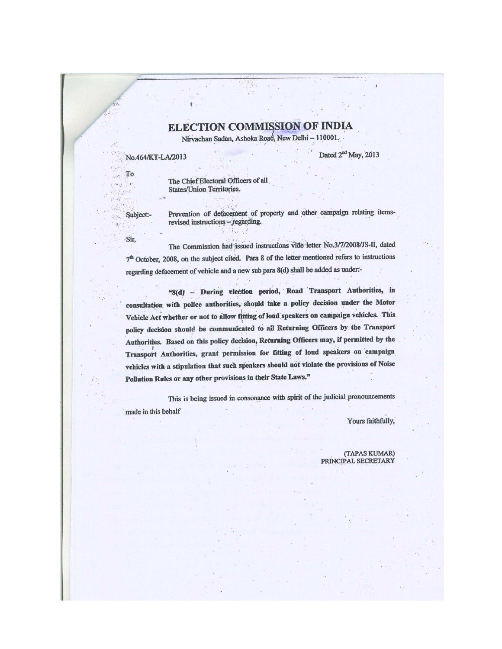# **ELECTION COMMISSION OF INDIA**

Nirvachan Sadan, Ashoka Road, New Delhi - 110001.

No.464/KT-LA/2013

Dated 2<sup>nd</sup> May, 2013

The Chief Electoral Officers of all **States/Union Territories.** 

Subject:-

To

Prevention of defacement of property and other campaign relating itemsrevised instructions - regarding.

Sir, The Commission had issued instructions vide letter No.3/7/2008/JS-II, dated 7<sup>th</sup> October, 2008, on the subject cited. Para 8 of the letter mentioned refers to instructions regarding defacement of vehicle and a new sub para 8(d) shall be added as under:-

"8(d) - During election period, Road Transport Authorities, in consultation with police authorities, should take a policy decision under the Motor Vehicle Act whether or not to allow fitting of loud speakers on campaign vehicles. This policy decision should be communicated to all Returning Officers by the Transport Authorities. Based on this policy decision, Returning Officers may, if permitted by the Transport Authorities, grant permission for fitting of loud speakers on campaign vehicles with a stipulation that such speakers should not violate the provisions of Noise Pollution Rules or any other provisions in their State Laws."

This is being issued in consonance with spirit of the judicial pronouncements made in this behalf

Yours faithfully,

(TAPAS KUMAR) PRINCIPAL SECRETARY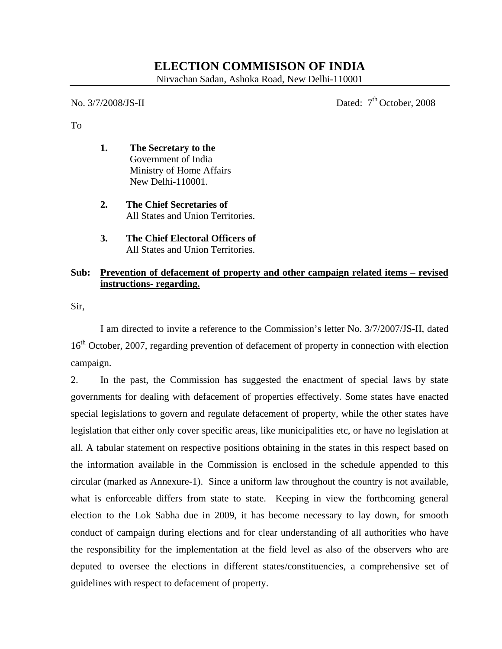## **ELECTION COMMISISON OF INDIA**

Nirvachan Sadan, Ashoka Road, New Delhi-110001

No.  $3/7/2008/JS$ -II Dated:  $7<sup>th</sup>$  October, 2008

To

- **1. The Secretary to the**  Government of India Ministry of Home Affairs New Delhi-110001.
- **2. The Chief Secretaries of**  All States and Union Territories.
- **3. The Chief Electoral Officers of**  All States and Union Territories.

#### **Sub: Prevention of defacement of property and other campaign related items – revised instructions- regarding.**

Sir,

 I am directed to invite a reference to the Commission's letter No. 3/7/2007/JS-II, dated 16<sup>th</sup> October, 2007, regarding prevention of defacement of property in connection with election campaign.

2. In the past, the Commission has suggested the enactment of special laws by state governments for dealing with defacement of properties effectively. Some states have enacted special legislations to govern and regulate defacement of property, while the other states have legislation that either only cover specific areas, like municipalities etc, or have no legislation at all. A tabular statement on respective positions obtaining in the states in this respect based on the information available in the Commission is enclosed in the schedule appended to this circular (marked as Annexure-1). Since a uniform law throughout the country is not available, what is enforceable differs from state to state. Keeping in view the forthcoming general election to the Lok Sabha due in 2009, it has become necessary to lay down, for smooth conduct of campaign during elections and for clear understanding of all authorities who have the responsibility for the implementation at the field level as also of the observers who are deputed to oversee the elections in different states/constituencies, a comprehensive set of guidelines with respect to defacement of property.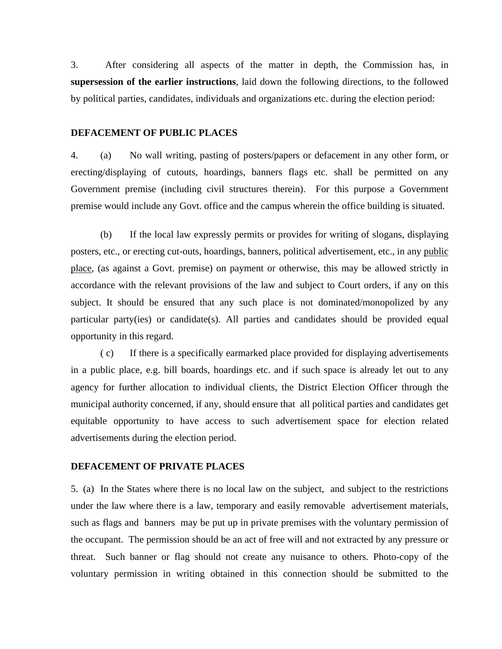3. After considering all aspects of the matter in depth, the Commission has, in **supersession of the earlier instructions**, laid down the following directions, to the followed by political parties, candidates, individuals and organizations etc. during the election period:

#### **DEFACEMENT OF PUBLIC PLACES**

4. (a) No wall writing, pasting of posters/papers or defacement in any other form, or erecting/displaying of cutouts, hoardings, banners flags etc. shall be permitted on any Government premise (including civil structures therein). For this purpose a Government premise would include any Govt. office and the campus wherein the office building is situated.

 (b) If the local law expressly permits or provides for writing of slogans, displaying posters, etc., or erecting cut-outs, hoardings, banners, political advertisement, etc., in any public place, (as against a Govt. premise) on payment or otherwise, this may be allowed strictly in accordance with the relevant provisions of the law and subject to Court orders, if any on this subject. It should be ensured that any such place is not dominated/monopolized by any particular party(ies) or candidate(s). All parties and candidates should be provided equal opportunity in this regard.

 ( c) If there is a specifically earmarked place provided for displaying advertisements in a public place, e.g. bill boards, hoardings etc. and if such space is already let out to any agency for further allocation to individual clients, the District Election Officer through the municipal authority concerned, if any, should ensure that all political parties and candidates get equitable opportunity to have access to such advertisement space for election related advertisements during the election period.

#### **DEFACEMENT OF PRIVATE PLACES**

5. (a) In the States where there is no local law on the subject, and subject to the restrictions under the law where there is a law, temporary and easily removable advertisement materials, such as flags and banners may be put up in private premises with the voluntary permission of the occupant. The permission should be an act of free will and not extracted by any pressure or threat. Such banner or flag should not create any nuisance to others. Photo-copy of the voluntary permission in writing obtained in this connection should be submitted to the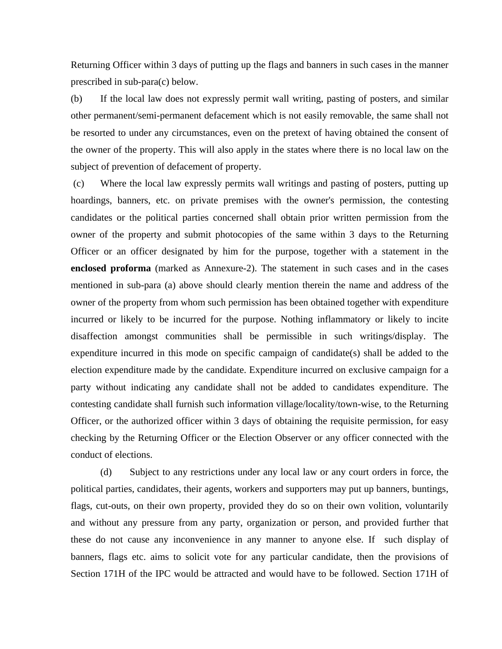Returning Officer within 3 days of putting up the flags and banners in such cases in the manner prescribed in sub-para(c) below.

(b) If the local law does not expressly permit wall writing, pasting of posters, and similar other permanent/semi-permanent defacement which is not easily removable, the same shall not be resorted to under any circumstances, even on the pretext of having obtained the consent of the owner of the property. This will also apply in the states where there is no local law on the subject of prevention of defacement of property.

 (c) Where the local law expressly permits wall writings and pasting of posters, putting up hoardings, banners, etc. on private premises with the owner's permission, the contesting candidates or the political parties concerned shall obtain prior written permission from the owner of the property and submit photocopies of the same within 3 days to the Returning Officer or an officer designated by him for the purpose, together with a statement in the **enclosed proforma** (marked as Annexure-2). The statement in such cases and in the cases mentioned in sub-para (a) above should clearly mention therein the name and address of the owner of the property from whom such permission has been obtained together with expenditure incurred or likely to be incurred for the purpose. Nothing inflammatory or likely to incite disaffection amongst communities shall be permissible in such writings/display. The expenditure incurred in this mode on specific campaign of candidate(s) shall be added to the election expenditure made by the candidate. Expenditure incurred on exclusive campaign for a party without indicating any candidate shall not be added to candidates expenditure. The contesting candidate shall furnish such information village/locality/town-wise, to the Returning Officer, or the authorized officer within 3 days of obtaining the requisite permission, for easy checking by the Returning Officer or the Election Observer or any officer connected with the conduct of elections.

(d) Subject to any restrictions under any local law or any court orders in force, the political parties, candidates, their agents, workers and supporters may put up banners, buntings, flags, cut-outs, on their own property, provided they do so on their own volition, voluntarily and without any pressure from any party, organization or person, and provided further that these do not cause any inconvenience in any manner to anyone else. If such display of banners, flags etc. aims to solicit vote for any particular candidate, then the provisions of Section 171H of the IPC would be attracted and would have to be followed. Section 171H of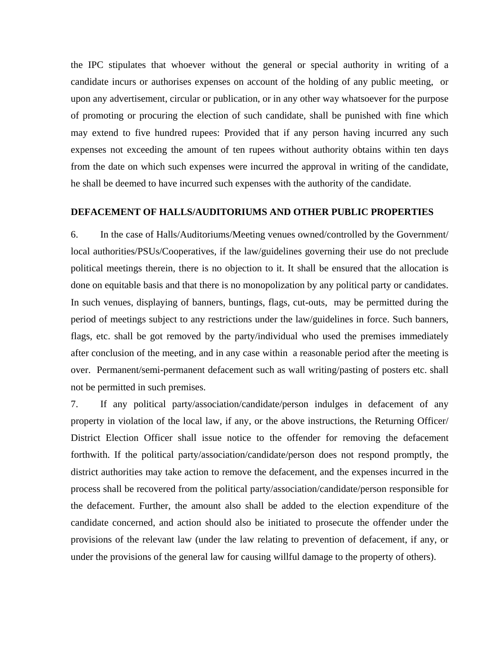the IPC stipulates that whoever without the general or special authority in writing of a candidate incurs or authorises expenses on account of the holding of any public meeting, or upon any advertisement, circular or publication, or in any other way whatsoever for the purpose of promoting or procuring the election of such candidate, shall be punished with fine which may extend to five hundred rupees: Provided that if any person having incurred any such expenses not exceeding the amount of ten rupees without authority obtains within ten days from the date on which such expenses were incurred the approval in writing of the candidate, he shall be deemed to have incurred such expenses with the authority of the candidate.

#### **DEFACEMENT OF HALLS/AUDITORIUMS AND OTHER PUBLIC PROPERTIES**

6. In the case of Halls/Auditoriums/Meeting venues owned/controlled by the Government/ local authorities/PSUs/Cooperatives, if the law/guidelines governing their use do not preclude political meetings therein, there is no objection to it. It shall be ensured that the allocation is done on equitable basis and that there is no monopolization by any political party or candidates. In such venues, displaying of banners, buntings, flags, cut-outs, may be permitted during the period of meetings subject to any restrictions under the law/guidelines in force. Such banners, flags, etc. shall be got removed by the party/individual who used the premises immediately after conclusion of the meeting, and in any case within a reasonable period after the meeting is over. Permanent/semi-permanent defacement such as wall writing/pasting of posters etc. shall not be permitted in such premises.

7. If any political party/association/candidate/person indulges in defacement of any property in violation of the local law, if any, or the above instructions, the Returning Officer/ District Election Officer shall issue notice to the offender for removing the defacement forthwith. If the political party/association/candidate/person does not respond promptly, the district authorities may take action to remove the defacement, and the expenses incurred in the process shall be recovered from the political party/association/candidate/person responsible for the defacement. Further, the amount also shall be added to the election expenditure of the candidate concerned, and action should also be initiated to prosecute the offender under the provisions of the relevant law (under the law relating to prevention of defacement, if any, or under the provisions of the general law for causing willful damage to the property of others).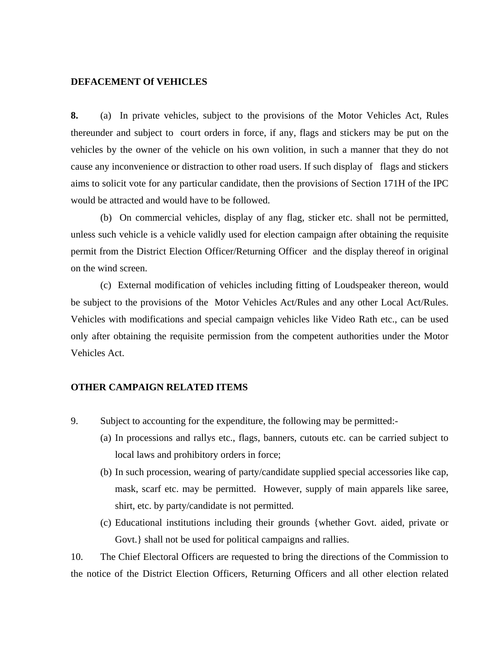#### **DEFACEMENT Of VEHICLES**

**8.** (a) In private vehicles, subject to the provisions of the Motor Vehicles Act, Rules thereunder and subject to court orders in force, if any, flags and stickers may be put on the vehicles by the owner of the vehicle on his own volition, in such a manner that they do not cause any inconvenience or distraction to other road users. If such display of flags and stickers aims to solicit vote for any particular candidate, then the provisions of Section 171H of the IPC would be attracted and would have to be followed.

 (b) On commercial vehicles, display of any flag, sticker etc. shall not be permitted, unless such vehicle is a vehicle validly used for election campaign after obtaining the requisite permit from the District Election Officer/Returning Officer and the display thereof in original on the wind screen.

(c) External modification of vehicles including fitting of Loudspeaker thereon, would be subject to the provisions of the Motor Vehicles Act/Rules and any other Local Act/Rules. Vehicles with modifications and special campaign vehicles like Video Rath etc., can be used only after obtaining the requisite permission from the competent authorities under the Motor Vehicles Act.

#### **OTHER CAMPAIGN RELATED ITEMS**

- 9. Subject to accounting for the expenditure, the following may be permitted:-
	- (a) In processions and rallys etc., flags, banners, cutouts etc. can be carried subject to local laws and prohibitory orders in force;
	- (b) In such procession, wearing of party/candidate supplied special accessories like cap, mask, scarf etc. may be permitted. However, supply of main apparels like saree, shirt, etc. by party/candidate is not permitted.
	- (c) Educational institutions including their grounds {whether Govt. aided, private or Govt.} shall not be used for political campaigns and rallies.

10. The Chief Electoral Officers are requested to bring the directions of the Commission to the notice of the District Election Officers, Returning Officers and all other election related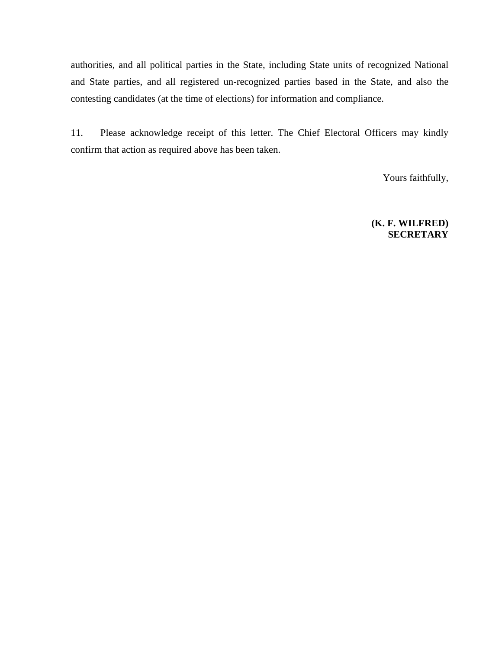authorities, and all political parties in the State, including State units of recognized National and State parties, and all registered un-recognized parties based in the State, and also the contesting candidates (at the time of elections) for information and compliance.

11. Please acknowledge receipt of this letter. The Chief Electoral Officers may kindly confirm that action as required above has been taken.

Yours faithfully,

**(K. F. WILFRED) SECRETARY**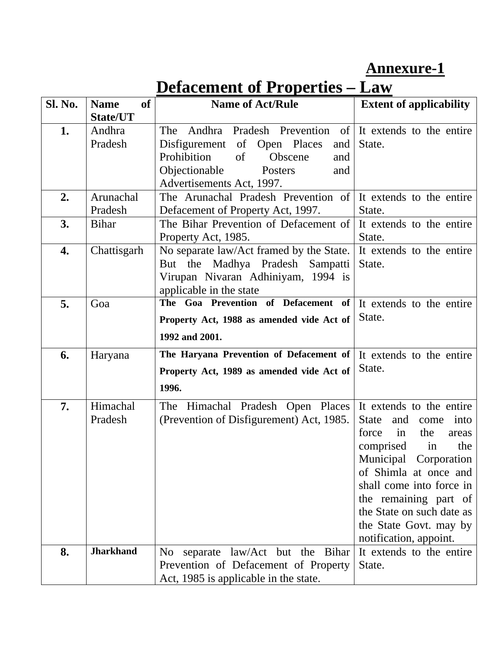**Annexure-1**

# **Defacement of Properties – Law**

| <b>Sl. No.</b> | <b>of</b><br><b>Name</b>      | <b>Name of Act/Rule</b>                                                                                                                      | <b>Extent of applicability</b>                                                                                                                                                                                                                                                                                   |
|----------------|-------------------------------|----------------------------------------------------------------------------------------------------------------------------------------------|------------------------------------------------------------------------------------------------------------------------------------------------------------------------------------------------------------------------------------------------------------------------------------------------------------------|
| 1.             | State/UT<br>Andhra<br>Pradesh | The Andhra Pradesh Prevention of It extends to the entire<br>Disfigurement<br>of Open Places<br>and                                          | State.                                                                                                                                                                                                                                                                                                           |
|                |                               | Prohibition<br>of<br>Obscene<br>and<br>Objectionable<br>Posters<br>and                                                                       |                                                                                                                                                                                                                                                                                                                  |
|                |                               | Advertisements Act, 1997.                                                                                                                    |                                                                                                                                                                                                                                                                                                                  |
| 2.             | Arunachal<br>Pradesh          | The Arunachal Pradesh Prevention of It extends to the entire<br>Defacement of Property Act, 1997.                                            | State.                                                                                                                                                                                                                                                                                                           |
| 3.             | <b>Bihar</b>                  | The Bihar Prevention of Defacement of<br>Property Act, 1985.                                                                                 | It extends to the entire<br>State.                                                                                                                                                                                                                                                                               |
| 4.             | Chattisgarh                   | No separate law/Act framed by the State.<br>But the Madhya Pradesh Sampatti<br>Virupan Nivaran Adhiniyam, 1994 is<br>applicable in the state | It extends to the entire<br>State.                                                                                                                                                                                                                                                                               |
| 5.             | Goa                           | The Goa Prevention of Defacement of<br>Property Act, 1988 as amended vide Act of<br>1992 and 2001.                                           | It extends to the entire<br>State.                                                                                                                                                                                                                                                                               |
| 6.             | Haryana                       | The Haryana Prevention of Defacement of                                                                                                      | It extends to the entire                                                                                                                                                                                                                                                                                         |
|                |                               | Property Act, 1989 as amended vide Act of                                                                                                    | State.                                                                                                                                                                                                                                                                                                           |
|                |                               | 1996.                                                                                                                                        |                                                                                                                                                                                                                                                                                                                  |
| 7.             | Himachal<br>Pradesh           | The Himachal Pradesh Open Places<br>(Prevention of Disfigurement) Act, 1985.                                                                 | It extends to the entire<br><b>State</b><br>and<br>into<br>come<br>in<br>the<br>force<br>areas<br>comprised<br>in<br>the<br>Municipal Corporation<br>of Shimla at once and<br>shall come into force in<br>the remaining part of<br>the State on such date as<br>the State Govt. may by<br>notification, appoint. |
| 8.             | <b>Jharkhand</b>              | law/Act but the<br>Bihar<br>N <sub>o</sub><br>separate<br>Prevention of Defacement of Property<br>Act, 1985 is applicable in the state.      | It extends to the entire<br>State.                                                                                                                                                                                                                                                                               |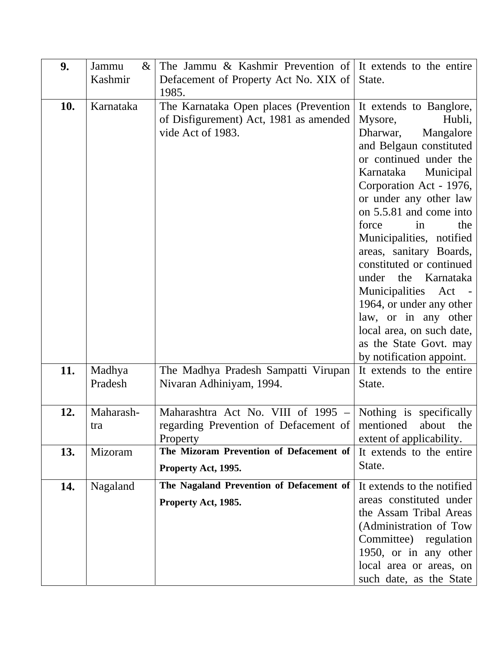| 9.  | $\&$<br>Jammu     | The Jammu & Kashmir Prevention of It extends to the entire                                                                            |                                                                                                                                                                                                                                                                                                                        |
|-----|-------------------|---------------------------------------------------------------------------------------------------------------------------------------|------------------------------------------------------------------------------------------------------------------------------------------------------------------------------------------------------------------------------------------------------------------------------------------------------------------------|
|     | Kashmir           | Defacement of Property Act No. XIX of                                                                                                 | State.                                                                                                                                                                                                                                                                                                                 |
|     |                   | 1985.                                                                                                                                 |                                                                                                                                                                                                                                                                                                                        |
| 10. | Karnataka         | The Karnataka Open places (Prevention<br>of Disfigurement) Act, 1981 as amended<br>vide Act of 1983.                                  | It extends to Banglore,<br>Mysore,<br>Hubli,<br>Dharwar,<br>Mangalore<br>and Belgaun constituted<br>or continued under the<br>Municipal<br>Karnataka<br>Corporation Act - 1976,<br>or under any other law                                                                                                              |
|     |                   |                                                                                                                                       | on 5.5.81 and come into<br>force<br>the<br>in<br>Municipalities, notified<br>areas, sanitary Boards,<br>constituted or continued<br>under the Karnataka<br>Municipalities Act -<br>1964, or under any other<br>law, or in any other<br>local area, on such date,<br>as the State Govt. may<br>by notification appoint. |
| 11. | Madhya<br>Pradesh | The Madhya Pradesh Sampatti Virupan<br>Nivaran Adhiniyam, 1994.                                                                       | It extends to the entire<br>State.                                                                                                                                                                                                                                                                                     |
| 12. | Maharash-<br>tra  | Maharashtra Act No. VIII of $1995$ – Nothing is specifically<br>regarding Prevention of Defacement of mentioned about the<br>Property | extent of applicability.                                                                                                                                                                                                                                                                                               |
| 13. | Mizoram           | The Mizoram Prevention of Defacement of                                                                                               | It extends to the entire                                                                                                                                                                                                                                                                                               |
|     |                   | Property Act, 1995.                                                                                                                   | State.                                                                                                                                                                                                                                                                                                                 |
| 14. | Nagaland          | The Nagaland Prevention of Defacement of                                                                                              | It extends to the notified                                                                                                                                                                                                                                                                                             |
|     |                   | Property Act, 1985.                                                                                                                   | areas constituted under<br>the Assam Tribal Areas<br>(Administration of Tow<br>Committee) regulation<br>1950, or in any other<br>local area or areas, on<br>such date, as the State                                                                                                                                    |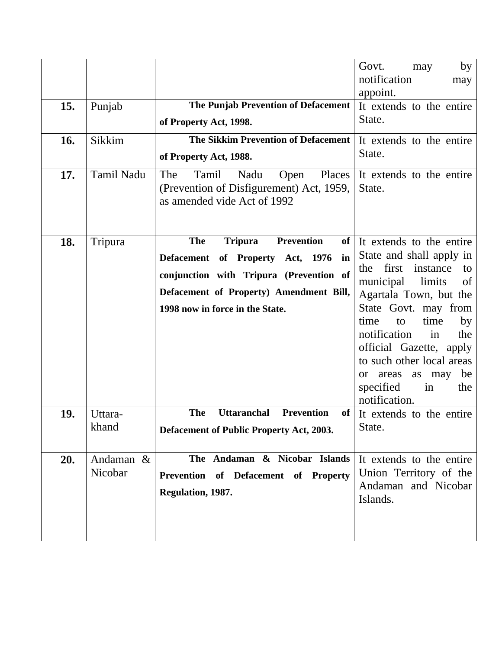| 15.<br>16.<br>17. | Punjab<br>Sikkim<br>Tamil Nadu | The Punjab Prevention of Defacement<br>of Property Act, 1998.<br><b>The Sikkim Prevention of Defacement</b><br>of Property Act, 1988.<br>The<br>Nadu<br>Places<br>Tamil<br>Open                                               | Govt.<br>by<br>may<br>notification<br>may<br>appoint.<br>It extends to the entire<br>State.<br>It extends to the entire<br>State.<br>It extends to the entire                                                                                                                                                                                                    |
|-------------------|--------------------------------|-------------------------------------------------------------------------------------------------------------------------------------------------------------------------------------------------------------------------------|------------------------------------------------------------------------------------------------------------------------------------------------------------------------------------------------------------------------------------------------------------------------------------------------------------------------------------------------------------------|
|                   |                                | (Prevention of Disfigurement) Act, 1959,<br>as amended vide Act of 1992<br><b>Prevention</b>                                                                                                                                  | State.                                                                                                                                                                                                                                                                                                                                                           |
| 18.               | Tripura                        | <b>The</b><br><b>Tripura</b><br><sub>of</sub><br><b>Defacement</b><br>of Property<br>Act, 1976<br>in<br>conjunction with Tripura (Prevention of<br>Defacement of Property) Amendment Bill,<br>1998 now in force in the State. | It extends to the entire<br>State and shall apply in<br>instance<br>first<br>the<br>to<br>municipal<br>limits<br>of<br>Agartala Town, but the<br>State Govt. may from<br>time<br>time<br>to<br>by<br>notification<br>in<br>the<br>official Gazette, apply<br>to such other local areas<br>be<br>areas<br>as may<br>or<br>specified<br>the<br>in<br>notification. |
| 19.               | Uttara-<br>khand               | <b>Uttaranchal</b><br>Prevention<br><b>The</b><br>of<br>Defacement of Public Property Act, 2003.                                                                                                                              | It extends to the entire<br>State.                                                                                                                                                                                                                                                                                                                               |
| 20.               | Andaman &<br>Nicobar           | The Andaman & Nicobar Islands<br>Prevention of Defacement of Property<br>Regulation, 1987.                                                                                                                                    | It extends to the entire<br>Union Territory of the<br>Andaman and Nicobar<br>Islands.                                                                                                                                                                                                                                                                            |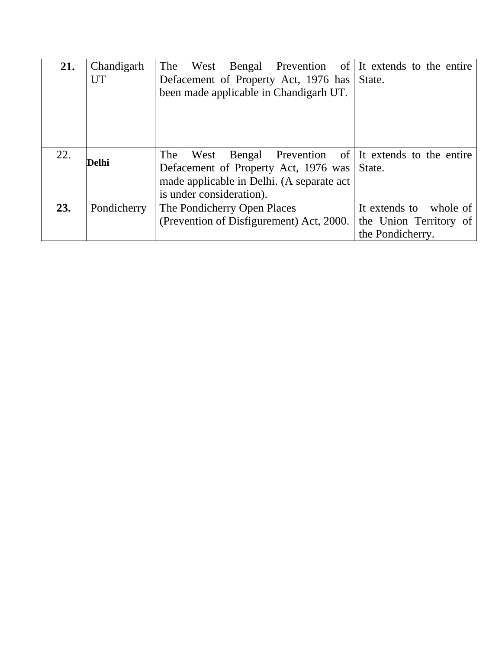| 21. | Chandigarh  | The<br>Bengal Prevention of It extends to the entire<br>West |                        |
|-----|-------------|--------------------------------------------------------------|------------------------|
|     | <b>UT</b>   | Defacement of Property Act, 1976 has                         | State.                 |
|     |             | been made applicable in Chandigarh UT.                       |                        |
|     |             |                                                              |                        |
|     |             |                                                              |                        |
|     |             |                                                              |                        |
|     |             |                                                              |                        |
| 22. |             | Bengal Prevention of It extends to the entire<br>The<br>West |                        |
|     | Delhi       | Defacement of Property Act, 1976 was                         | State.                 |
|     |             | made applicable in Delhi. (A separate act                    |                        |
|     |             | is under consideration).                                     |                        |
| 23. | Pondicherry | The Pondicherry Open Places                                  | It extends to whole of |
|     |             | (Prevention of Disfigurement) Act, 2000.                     | the Union Territory of |
|     |             |                                                              | the Pondicherry.       |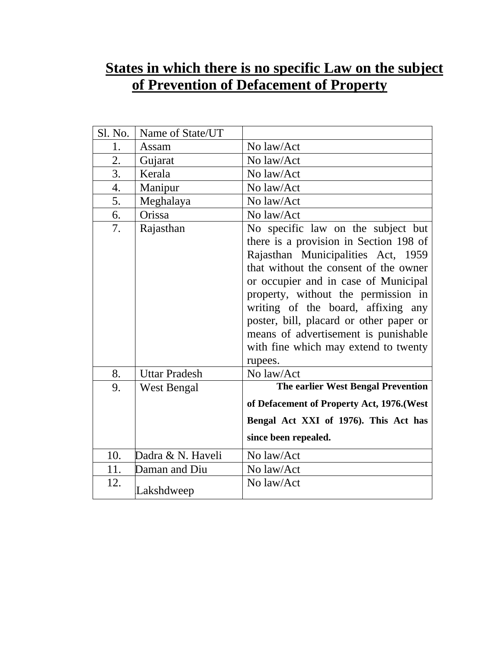# **States in which there is no specific Law on the subject of Prevention of Defacement of Property**

| Sl. No. | Name of State/UT     |                                            |
|---------|----------------------|--------------------------------------------|
| 1.      | Assam                | No law/Act                                 |
| 2.      | Gujarat              | No law/Act                                 |
| 3.      | Kerala               | No law/Act                                 |
| 4.      | Manipur              | No law/Act                                 |
| 5.      | Meghalaya            | No law/Act                                 |
| 6.      | Orissa               | No law/Act                                 |
| 7.      | Rajasthan            | No specific law on the subject but         |
|         |                      | there is a provision in Section 198 of     |
|         |                      | Rajasthan Municipalities Act, 1959         |
|         |                      | that without the consent of the owner      |
|         |                      | or occupier and in case of Municipal       |
|         |                      | property, without the permission in        |
|         |                      | writing of the board, affixing any         |
|         |                      | poster, bill, placard or other paper or    |
|         |                      | means of advertisement is punishable       |
|         |                      | with fine which may extend to twenty       |
|         |                      | rupees.                                    |
| 8.      | <b>Uttar Pradesh</b> | No law/Act                                 |
| 9.      | West Bengal          | The earlier West Bengal Prevention         |
|         |                      | of Defacement of Property Act, 1976. (West |
|         |                      | Bengal Act XXI of 1976). This Act has      |
|         |                      | since been repealed.                       |
| 10.     | Dadra & N. Haveli    | No law/Act                                 |
| 11.     | Daman and Diu        | No law/Act                                 |
| 12.     | Lakshdweep           | No law/Act                                 |